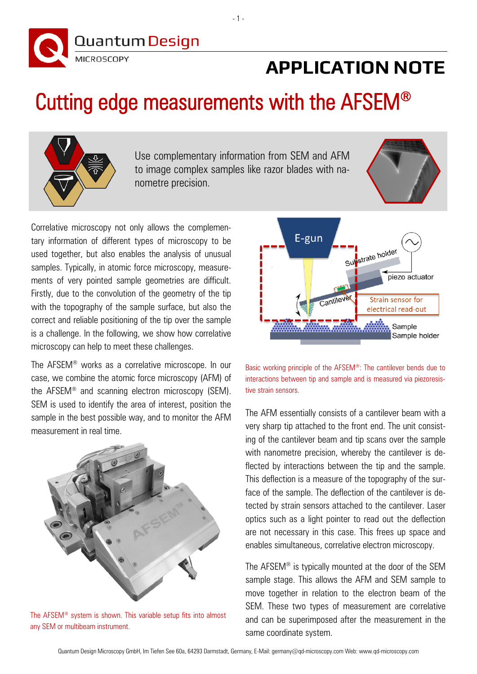

## **APPLICATION NOTE**

## Cutting edge measurements with the AFSEM®



Use complementary information from SEM and AFM to image complex samples like razor blades with nanometre precision.



Correlative microscopy not only allows the complementary information of different types of microscopy to be used together, but also enables the analysis of unusual samples. Typically, in atomic force microscopy, measurements of very pointed sample geometries are difficult. Firstly, due to the convolution of the geometry of the tip with the topography of the sample surface, but also the correct and reliable positioning of the tip over the sample is a challenge. In the following, we show how correlative microscopy can help to meet these challenges.

The AFSEM® works as a correlative microscope. In our case, we combine the atomic force microscopy (AFM) of the AFSEM® and scanning electron microscopy (SEM). SEM is used to identify the area of interest, position the sample in the best possible way, and to monitor the AFM measurement in real time.



The AFSEM® system is shown. This variable setup fits into almost any SEM or multibeam instrument.



Basic working principle of the AFSEM®: The cantilever bends due to interactions between tip and sample and is measured via piezoresistive strain sensors.

The AFM essentially consists of a cantilever beam with a very sharp tip attached to the front end. The unit consisting of the cantilever beam and tip scans over the sample with nanometre precision, whereby the cantilever is deflected by interactions between the tip and the sample. This deflection is a measure of the topography of the surface of the sample. The deflection of the cantilever is detected by strain sensors attached to the cantilever. Laser optics such as a light pointer to read out the deflection are not necessary in this case. This frees up space and enables simultaneous, correlative electron microscopy.

The AFSEM® is typically mounted at the door of the SEM sample stage. This allows the AFM and SEM sample to move together in relation to the electron beam of the SEM. These two types of measurement are correlative and can be superimposed after the measurement in the same coordinate system.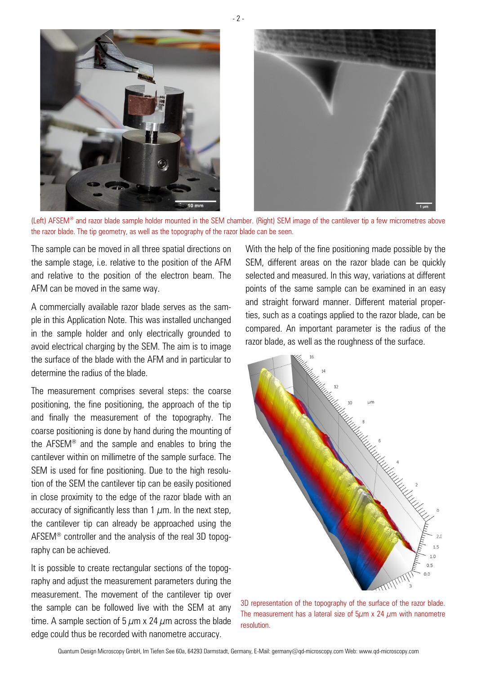

- 2 -

(Left) AFSEM® and razor blade sample holder mounted in the SEM chamber. (Right) SEM image of the cantilever tip a few micrometres above the razor blade. The tip geometry, as well as the topography of the razor blade can be seen.

The sample can be moved in all three spatial directions on the sample stage, i.e. relative to the position of the AFM and relative to the position of the electron beam. The AFM can be moved in the same way.

A commercially available razor blade serves as the sample in this Application Note. This was installed unchanged in the sample holder and only electrically grounded to avoid electrical charging by the SEM. The aim is to image the surface of the blade with the AFM and in particular to determine the radius of the blade.

The measurement comprises several steps: the coarse positioning, the fine positioning, the approach of the tip and finally the measurement of the topography. The coarse positioning is done by hand during the mounting of the AFSEM® and the sample and enables to bring the cantilever within on millimetre of the sample surface. The SEM is used for fine positioning. Due to the high resolution of the SEM the cantilever tip can be easily positioned in close proximity to the edge of the razor blade with an accuracy of significantly less than 1  $\mu$ m. In the next step, the cantilever tip can already be approached using the AFSEM® controller and the analysis of the real 3D topography can be achieved.

It is possible to create rectangular sections of the topography and adjust the measurement parameters during the measurement. The movement of the cantilever tip over the sample can be followed live with the SEM at any time. A sample section of 5  $\mu$ m x 24  $\mu$ m across the blade edge could thus be recorded with nanometre accuracy.

With the help of the fine positioning made possible by the SEM, different areas on the razor blade can be quickly selected and measured. In this way, variations at different points of the same sample can be examined in an easy and straight forward manner. Different material properties, such as a coatings applied to the razor blade, can be compared. An important parameter is the radius of the razor blade, as well as the roughness of the surface.



3D representation of the topography of the surface of the razor blade. The measurement has a lateral size of  $5\mu$ m x 24  $\mu$ m with nanometre resolution.